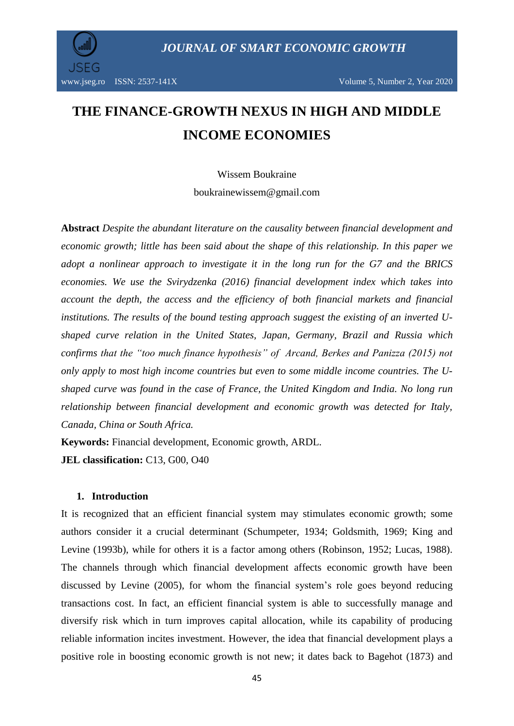

# **THE FINANCE-GROWTH NEXUS IN HIGH AND MIDDLE INCOME ECONOMIES**

Wissem Boukraine boukrainewissem@gmail.com

**Abstract** *Despite the abundant literature on the causality between financial development and economic growth; little has been said about the shape of this relationship. In this paper we adopt a nonlinear approach to investigate it in the long run for the G7 and the BRICS economies. We use the Svirydzenka (2016) financial development index which takes into account the depth, the access and the efficiency of both financial markets and financial institutions. The results of the bound testing approach suggest the existing of an inverted Ushaped curve relation in the United States, Japan, Germany, Brazil and Russia which confirms that the "too much finance hypothesis" of Arcand, Berkes and Panizza (2015) not only apply to most high income countries but even to some middle income countries. The Ushaped curve was found in the case of France, the United Kingdom and India. No long run relationship between financial development and economic growth was detected for Italy, Canada, China or South Africa.*

**Keywords:** Financial development, Economic growth, ARDL.

**JEL classification:** C13, G00, O40

### **1. Introduction**

It is recognized that an efficient financial system may stimulates economic growth; some authors consider it a crucial determinant (Schumpeter, 1934; Goldsmith, 1969; King and Levine (1993b), while for others it is a factor among others (Robinson, 1952; Lucas, 1988). The channels through which financial development affects economic growth have been discussed by Levine (2005), for whom the financial system's role goes beyond reducing transactions cost. In fact, an efficient financial system is able to successfully manage and diversify risk which in turn improves capital allocation, while its capability of producing reliable information incites investment. However, the idea that financial development plays a positive role in boosting economic growth is not new; it dates back to Bagehot (1873) and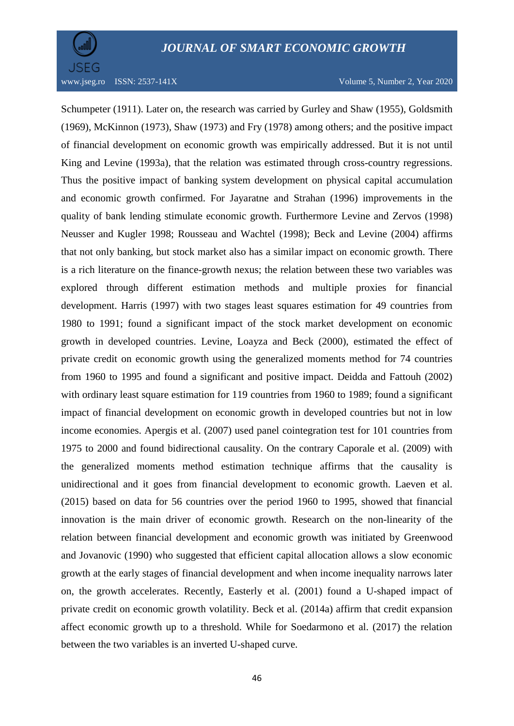

Schumpeter (1911). Later on, the research was carried by Gurley and Shaw (1955), Goldsmith (1969), McKinnon (1973), Shaw (1973) and Fry (1978) among others; and the positive impact of financial development on economic growth was empirically addressed. But it is not until King and Levine (1993a), that the relation was estimated through cross-country regressions. Thus the positive impact of banking system development on physical capital accumulation and economic growth confirmed. For Jayaratne and Strahan (1996) improvements in the quality of bank lending stimulate economic growth. Furthermore Levine and Zervos (1998) Neusser and Kugler 1998; Rousseau and Wachtel (1998); Beck and Levine (2004) affirms that not only banking, but stock market also has a similar impact on economic growth. There is a rich literature on the finance-growth nexus; the relation between these two variables was explored through different estimation methods and multiple proxies for financial development. Harris (1997) with two stages least squares estimation for 49 countries from 1980 to 1991; found a significant impact of the stock market development on economic growth in developed countries. Levine, Loayza and Beck (2000), estimated the effect of private credit on economic growth using the generalized moments method for 74 countries from 1960 to 1995 and found a significant and positive impact. Deidda and Fattouh (2002) with ordinary least square estimation for 119 countries from 1960 to 1989; found a significant impact of financial development on economic growth in developed countries but not in low income economies. Apergis et al. (2007) used panel cointegration test for 101 countries from 1975 to 2000 and found bidirectional causality. On the contrary Caporale et al. (2009) with the generalized moments method estimation technique affirms that the causality is unidirectional and it goes from financial development to economic growth. Laeven et al. (2015) based on data for 56 countries over the period 1960 to 1995, showed that financial innovation is the main driver of economic growth. Research on the non-linearity of the relation between financial development and economic growth was initiated by Greenwood and Jovanovic (1990) who suggested that efficient capital allocation allows a slow economic growth at the early stages of financial development and when income inequality narrows later on, the growth accelerates. Recently, Easterly et al. (2001) found a U-shaped impact of private credit on economic growth volatility. Beck et al. (2014a) affirm that credit expansion affect economic growth up to a threshold. While for Soedarmono et al. (2017) the relation between the two variables is an inverted U-shaped curve.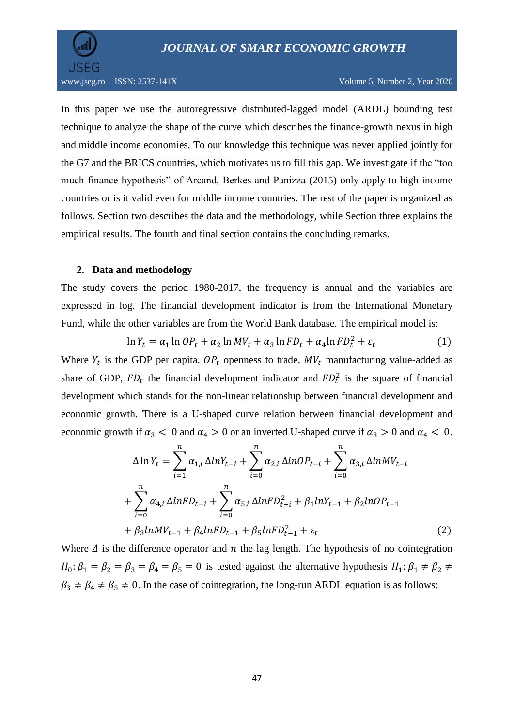

In this paper we use the autoregressive distributed-lagged model (ARDL) bounding test technique to analyze the shape of the curve which describes the finance-growth nexus in high and middle income economies. To our knowledge this technique was never applied jointly for the G7 and the BRICS countries, which motivates us to fill this gap. We investigate if the "too much finance hypothesis" of Arcand, Berkes and Panizza (2015) only apply to high income countries or is it valid even for middle income countries. The rest of the paper is organized as follows. Section two describes the data and the methodology, while Section three explains the empirical results. The fourth and final section contains the concluding remarks.

### **2. Data and methodology**

The study covers the period 1980-2017, the frequency is annual and the variables are expressed in log. The financial development indicator is from the International Monetary Fund, while the other variables are from the World Bank database. The empirical model is:

$$
\ln Y_t = \alpha_1 \ln OP_t + \alpha_2 \ln MV_t + \alpha_3 \ln FD_t + \alpha_4 \ln FD_t^2 + \varepsilon_t \tag{1}
$$

Where  $Y_t$  is the GDP per capita,  $OP_t$  openness to trade,  $MV_t$  manufacturing value-added as share of GDP,  $FD_t$  the financial development indicator and  $FD_t^2$  is the square of financial development which stands for the non-linear relationship between financial development and economic growth. There is a U-shaped curve relation between financial development and economic growth if  $\alpha_3$  < 0 and  $\alpha_4$  > 0 or an inverted U-shaped curve if  $\alpha_3$  > 0 and  $\alpha_4$  < 0.

$$
\Delta \ln Y_t = \sum_{i=1}^n \alpha_{1,i} \Delta \ln Y_{t-i} + \sum_{i=0}^n \alpha_{2,i} \Delta \ln OP_{t-i} + \sum_{i=0}^n \alpha_{3,i} \Delta \ln MV_{t-i} + \sum_{i=0}^n \alpha_{4,i} \Delta \ln FD_{t-i} + \sum_{i=0}^n \alpha_{5,i} \Delta \ln FD_{t-i}^2 + \beta_1 \ln Y_{t-1} + \beta_2 \ln OP_{t-1} + \beta_3 \ln MV_{t-1} + \beta_4 \ln FD_{t-1} + \beta_5 \ln FD_{t-1}^2 + \varepsilon_t
$$
\n(2)

Where  $\Delta$  is the difference operator and  $n$  the lag length. The hypothesis of no cointegration  $H_0: \beta_1 = \beta_2 = \beta_3 = \beta_4 = \beta_5 = 0$  is tested against the alternative hypothesis  $H_1: \beta_1 \neq \beta_2 \neq$  $\beta_3 \neq \beta_4 \neq \beta_5 \neq 0$ . In the case of cointegration, the long-run ARDL equation is as follows: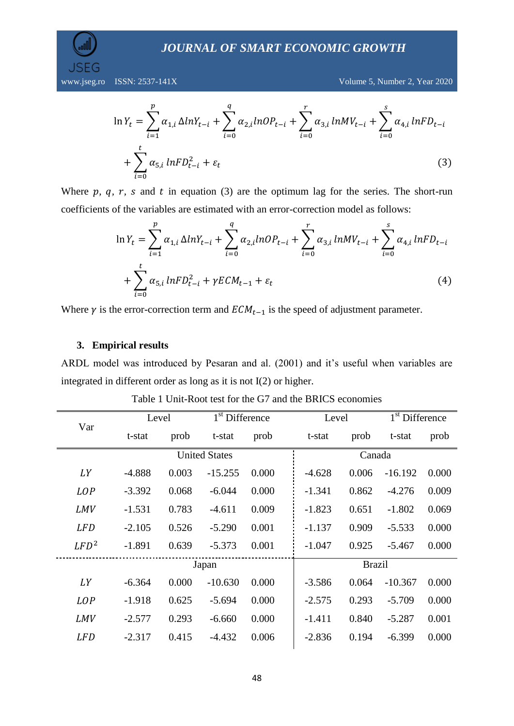www.jseg.ro ISSN: 2537-141X Volume 5, Number 2, Year 2020

$$
\ln Y_{t} = \sum_{i=1}^{p} \alpha_{1,i} \Delta ln Y_{t-i} + \sum_{i=0}^{q} \alpha_{2,i} ln OP_{t-i} + \sum_{i=0}^{r} \alpha_{3,i} ln MV_{t-i} + \sum_{i=0}^{s} \alpha_{4,i} ln FD_{t-i} + \sum_{i=0}^{t} \alpha_{5,i} ln FD_{t-i}^{2} + \epsilon_{t}
$$
\n(3)

Where  $p$ ,  $q$ ,  $r$ ,  $s$  and  $t$  in equation (3) are the optimum lag for the series. The short-run coefficients of the variables are estimated with an error-correction model as follows:

$$
\ln Y_{t} = \sum_{i=1}^{p} \alpha_{1,i} \Delta ln Y_{t-i} + \sum_{i=0}^{q} \alpha_{2,i} ln OP_{t-i} + \sum_{i=0}^{r} \alpha_{3,i} ln MV_{t-i} + \sum_{i=0}^{s} \alpha_{4,i} ln FD_{t-i} + \sum_{i=0}^{t} \alpha_{5,i} ln FD_{t-i} + \gamma ECM_{t-1} + \varepsilon_{t}
$$
\n(4)

Where  $\gamma$  is the error-correction term and  $ECM_{t-1}$  is the speed of adjustment parameter.

#### **3. Empirical results**

ARDL model was introduced by Pesaran and al. (2001) and it's useful when variables are integrated in different order as long as it is not I(2) or higher.

| Var        | Level    |       | 1 <sup>st</sup> Difference |       | Level    |               | 1 <sup>st</sup> Difference |       |  |  |  |  |  |
|------------|----------|-------|----------------------------|-------|----------|---------------|----------------------------|-------|--|--|--|--|--|
|            | t-stat   | prob  | t-stat                     | prob  | t-stat   | prob          | t-stat                     | prob  |  |  |  |  |  |
|            |          |       | <b>United States</b>       |       |          | Canada        |                            |       |  |  |  |  |  |
| LY         | $-4.888$ | 0.003 | $-15.255$                  | 0.000 | $-4.628$ | 0.006         | $-16.192$                  | 0.000 |  |  |  |  |  |
| <b>LOP</b> | $-3.392$ | 0.068 | $-6.044$                   | 0.000 | $-1.341$ | 0.862         | $-4.276$                   | 0.009 |  |  |  |  |  |
| <b>LMV</b> | $-1.531$ | 0.783 | $-4.611$                   | 0.009 | $-1.823$ | 0.651         | $-1.802$                   | 0.069 |  |  |  |  |  |
| <b>LFD</b> | $-2.105$ | 0.526 | $-5.290$                   | 0.001 | $-1.137$ | 0.909         | $-5.533$                   | 0.000 |  |  |  |  |  |
| $LFD^2$    | $-1.891$ | 0.639 | $-5.373$                   | 0.001 | $-1.047$ | 0.925         | $-5.467$                   | 0.000 |  |  |  |  |  |
|            |          |       | Japan                      |       |          | <b>Brazil</b> |                            |       |  |  |  |  |  |
| LY         | $-6.364$ | 0.000 | $-10.630$                  | 0.000 | $-3.586$ | 0.064         | $-10.367$                  | 0.000 |  |  |  |  |  |
| <b>LOP</b> | $-1.918$ | 0.625 | $-5.694$                   | 0.000 | $-2.575$ | 0.293         | $-5.709$                   | 0.000 |  |  |  |  |  |
| LMV        | $-2.577$ | 0.293 | $-6.660$                   | 0.000 | $-1.411$ | 0.840         | $-5.287$                   | 0.001 |  |  |  |  |  |
| <b>LFD</b> | $-2.317$ | 0.415 | $-4.432$                   |       | $-2.836$ | 0.194         | $-6.399$                   | 0.000 |  |  |  |  |  |
|            |          |       |                            |       |          |               |                            |       |  |  |  |  |  |

Table 1 Unit-Root test for the G7 and the BRICS economies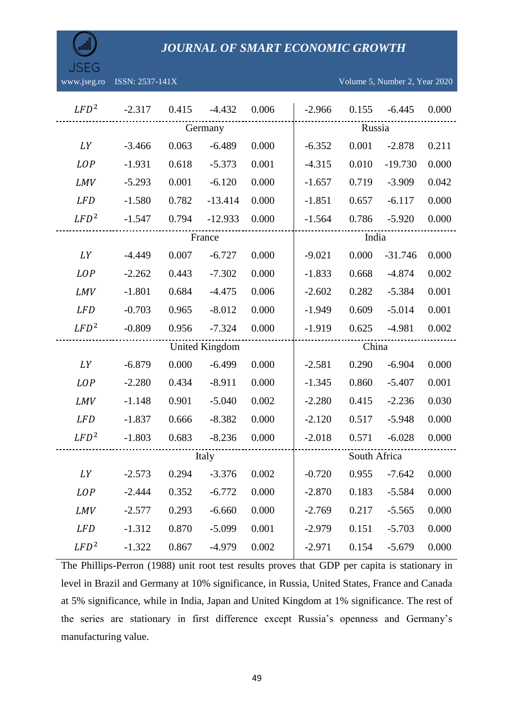| aTI. |  |
|------|--|
|      |  |

www.jseg.ro ISSN: 2537-141X Volume 5, Number 2, Year 2020

| $LFD^2$          | $-2.317$ | 0.415  | $-4.432$              | 0.006 | $-2.966$ | 0.155        | $-6.445$  | 0.000 |  |  |  |
|------------------|----------|--------|-----------------------|-------|----------|--------------|-----------|-------|--|--|--|
|                  |          |        | Germany               |       |          | Russia       |           |       |  |  |  |
| LY               | $-3.466$ | 0.063  | $-6.489$              | 0.000 | $-6.352$ | 0.001        | $-2.878$  | 0.211 |  |  |  |
| <b>LOP</b>       | $-1.931$ | 0.618  | $-5.373$              | 0.001 | $-4.315$ | 0.010        | $-19.730$ | 0.000 |  |  |  |
| <b>LMV</b>       | $-5.293$ | 0.001  | $-6.120$              | 0.000 | $-1.657$ | 0.719        | $-3.909$  | 0.042 |  |  |  |
| <b>LFD</b>       | $-1.580$ | 0.782  | $-13.414$             | 0.000 | $-1.851$ | 0.657        | $-6.117$  | 0.000 |  |  |  |
| $LFD^2$          | $-1.547$ | 0.794  | $-12.933$             | 0.000 | $-1.564$ | 0.786        | $-5.920$  | 0.000 |  |  |  |
|                  |          | France |                       | India |          |              |           |       |  |  |  |
| LY               | $-4.449$ | 0.007  | $-6.727$              | 0.000 | $-9.021$ | 0.000        | $-31.746$ | 0.000 |  |  |  |
| <b>LOP</b>       | $-2.262$ | 0.443  | $-7.302$              | 0.000 | $-1.833$ | 0.668        | $-4.874$  | 0.002 |  |  |  |
| <b>LMV</b>       | $-1.801$ | 0.684  | $-4.475$              | 0.006 | $-2.602$ | 0.282        | $-5.384$  | 0.001 |  |  |  |
| <b>LFD</b>       | $-0.703$ | 0.965  | $-8.012$              | 0.000 | $-1.949$ | 0.609        | $-5.014$  | 0.001 |  |  |  |
| $LFD^2$          | $-0.809$ | 0.956  | $-7.324$              | 0.000 | $-1.919$ | 0.625        | $-4.981$  | 0.002 |  |  |  |
|                  |          |        | <b>United Kingdom</b> |       | China    |              |           |       |  |  |  |
| LY               | $-6.879$ | 0.000  | $-6.499$              | 0.000 | $-2.581$ | 0.290        | $-6.904$  | 0.000 |  |  |  |
| <b>LOP</b>       | $-2.280$ | 0.434  | $-8.911$              | 0.000 | $-1.345$ | 0.860        | $-5.407$  | 0.001 |  |  |  |
| LMV              | $-1.148$ | 0.901  | $-5.040$              | 0.002 | $-2.280$ | 0.415        | $-2.236$  | 0.030 |  |  |  |
| <b>LFD</b>       | $-1.837$ | 0.666  | $-8.382$              | 0.000 | $-2.120$ | 0.517        | $-5.948$  | 0.000 |  |  |  |
| $LFD^2$          | $-1.803$ | 0.683  | $-8.236$              | 0.000 | $-2.018$ | 0.571        | $-6.028$  | 0.000 |  |  |  |
|                  |          |        | Italy                 |       |          | South Africa |           |       |  |  |  |
| LY               | $-2.573$ | 0.294  | $-3.376$              | 0.002 | $-0.720$ | 0.955        | $-7.642$  | 0.000 |  |  |  |
| <b>LOP</b>       | $-2.444$ | 0.352  | $-6.772$              | 0.000 | $-2.870$ | 0.183        | $-5.584$  | 0.000 |  |  |  |
| <b>LMV</b>       | $-2.577$ | 0.293  | $-6.660$              | 0.000 | $-2.769$ | 0.217        | $-5.565$  | 0.000 |  |  |  |
| <b>LFD</b>       | $-1.312$ | 0.870  | $-5.099$              | 0.001 | $-2.979$ | 0.151        | $-5.703$  | 0.000 |  |  |  |
| LFD <sup>2</sup> | $-1.322$ | 0.867  | $-4.979$              | 0.002 | $-2.971$ | 0.154        | $-5.679$  | 0.000 |  |  |  |

The Phillips-Perron (1988) unit root test results proves that GDP per capita is stationary in level in Brazil and Germany at 10% significance, in Russia, United States, France and Canada at 5% significance, while in India, Japan and United Kingdom at 1% significance. The rest of the series are stationary in first difference except Russia's openness and Germany's manufacturing value.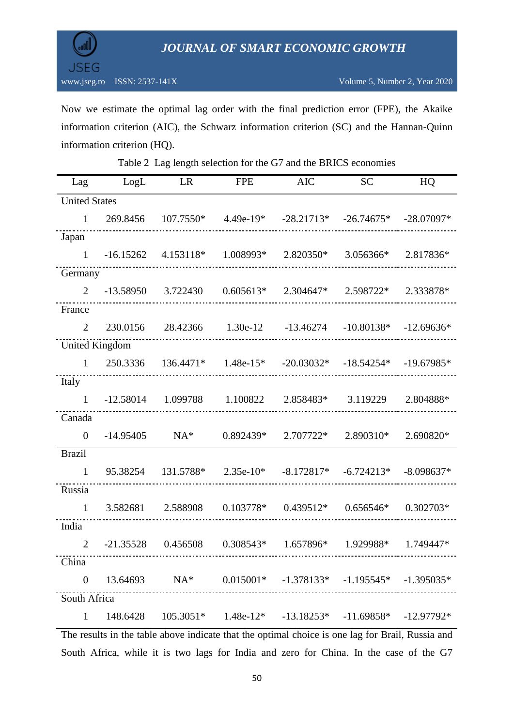

Now we estimate the optimal lag order with the final prediction error (FPE), the Akaike information criterion (AIC), the Schwarz information criterion (SC) and the Hannan-Quinn information criterion (HQ).

| <b>United States</b> |             |                                     |             |                                                                                                                                                         |                         | HQ           |
|----------------------|-------------|-------------------------------------|-------------|---------------------------------------------------------------------------------------------------------------------------------------------------------|-------------------------|--------------|
|                      |             |                                     |             |                                                                                                                                                         |                         |              |
| $\mathbf{1}$         | 269.8456    | $107.7550*$                         | $4.49e-19*$ |                                                                                                                                                         | $-28.21713* -26.74675*$ | $-28.07097*$ |
| Japan                |             |                                     |             |                                                                                                                                                         |                         |              |
| $\mathbf{1}$         | $-16.15262$ | 4.153118*                           | 1.008993*   | 2.820350*                                                                                                                                               | 3.056366*               | 2.817836*    |
| Germany              |             |                                     |             |                                                                                                                                                         |                         |              |
| $\mathfrak{D}$       | $-13.58950$ | 3.722430                            | $0.605613*$ | 2.304647*                                                                                                                                               | 2.598722*               | 2.333878*    |
| France               |             |                                     |             |                                                                                                                                                         |                         |              |
| $\overline{2}$       | 230.0156    | 28.42366                            | 1.30e-12    | $-13.46274$                                                                                                                                             | $-10.80138*$            | $-12.69636*$ |
| United Kingdom       |             |                                     |             |                                                                                                                                                         |                         |              |
| $\mathbf{1}$         | 250.3336    | $136.4471*$                         | $1.48e-15*$ | $-20.03032*$                                                                                                                                            | $-18.54254*$            | $-19.67985*$ |
| Italy                |             |                                     |             |                                                                                                                                                         |                         |              |
| $\mathbf{1}$         | $-12.58014$ | 1.099788                            | 1.100822    | 2.858483*                                                                                                                                               | 3.119229                | 2.804888*    |
| Canada               |             |                                     |             |                                                                                                                                                         |                         |              |
| $\Omega$             | $-14.95405$ | $NA*$                               | 0.892439*   | 2.707722*                                                                                                                                               | 2.890310*               | 2.690820*    |
| <b>Brazil</b>        |             |                                     |             |                                                                                                                                                         |                         |              |
| $\mathbf{1}$         | 95.38254    | 131.5788*                           | $2.35e-10*$ | $-8.172817*$                                                                                                                                            | $-6.724213*$            | $-8.098637*$ |
| Russia               |             |                                     |             |                                                                                                                                                         |                         |              |
| $\mathbf{1}$         | 3.582681    | 2.588908                            | $0.103778*$ | $0.439512*$                                                                                                                                             | $0.656546*$             | 0.302703*    |
| India                |             |                                     |             |                                                                                                                                                         |                         |              |
| $\overline{2}$       | $-21.35528$ | 0.456508                            | $0.308543*$ | 1.657896*                                                                                                                                               | 1.929988*               | 1.749447*    |
| China                |             |                                     |             |                                                                                                                                                         |                         |              |
| $\theta$             |             | ----------------------------------- |             | $13.64693$ NA* $0.015001*$ $-1.378133*$ $-1.195545*$ $-1.395035*$                                                                                       |                         |              |
| South Africa         |             |                                     |             |                                                                                                                                                         |                         |              |
| $\mathbf{1}$         |             |                                     |             | $148.6428$ $105.3051*$ $1.48e-12*$ $-13.18253*$ $-11.69858*$ $-12.97792*$<br>the toble choice indicate that the entimel choice is one leg for Breil Buc |                         |              |

Table 2 Lag length selection for the G7 and the BRICS economies

The results in the table above indicate that the optimal choice is one lag for Brail, Russia and South Africa, while it is two lags for India and zero for China. In the case of the G7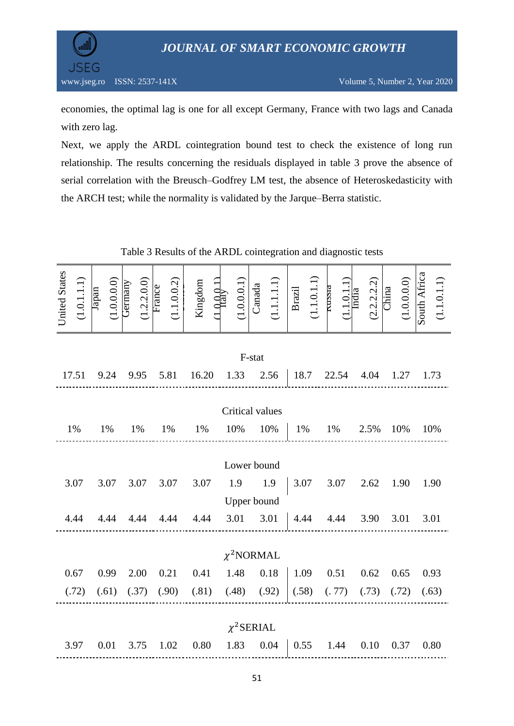

economies, the optimal lag is one for all except Germany, France with two lags and Canada with zero lag.

Next, we apply the ARDL cointegration bound test to check the existence of long run relationship. The results concerning the residuals displayed in table 3 prove the absence of serial correlation with the Breusch–Godfrey LM test, the absence of Heteroskedasticity with the ARCH test; while the normality is validated by the Jarque–Berra statistic.

| <b>United States</b> | (1.0.1.1.1)     | Japan | $(1.0.0.0.0)$ Germany |  | (1.2.2.0.0) |  | (1.1.0.0.2)       |    | Kingdom | $L_{\rm 161V}^{\rm 0.011}$ |                         |  | $\frac{(1.0.0.0.1)}{\text{Canada}}$ | $(1.1.1.1)$<br>Brazil<br>$\frac{1}{1.1 \cdot 0.1 \cdot 1}$<br>Trussia |                                                           |                      |       | $\frac{(1.1.0.1.1)}{\text{India}}$ |      | $(2.2.2.2.2)$<br>China |     | (1.0.0.0.0) | South Africa | (1.1.0.1.1) |
|----------------------|-----------------|-------|-----------------------|--|-------------|--|-------------------|----|---------|----------------------------|-------------------------|--|-------------------------------------|-----------------------------------------------------------------------|-----------------------------------------------------------|----------------------|-------|------------------------------------|------|------------------------|-----|-------------|--------------|-------------|
|                      | F-stat          |       |                       |  |             |  |                   |    |         |                            |                         |  |                                     |                                                                       |                                                           |                      |       |                                    |      |                        |     |             |              |             |
|                      | 17.51           |       | 9.24                  |  | 9.95 5.81   |  |                   |    | 16.20   |                            | 1.33                    |  |                                     | 2.56                                                                  |                                                           |                      |       | 18.7 22.54                         |      | 4.04                   |     | 1.27        | 1.73         |             |
|                      | Critical values |       |                       |  |             |  |                   |    |         |                            |                         |  |                                     |                                                                       |                                                           |                      |       |                                    |      |                        |     |             |              |             |
|                      | 1%              |       |                       |  | 1%          |  |                   | 1% |         |                            |                         |  | 10% 10%                             |                                                                       | 1%                                                        |                      | 1%    |                                    | 2.5% |                        | 10% |             |              |             |
|                      | 1%<br>1%        |       |                       |  |             |  |                   |    |         |                            |                         |  |                                     |                                                                       |                                                           |                      |       |                                    | 10%  |                        |     |             |              |             |
|                      | Lower bound     |       |                       |  |             |  |                   |    |         |                            |                         |  |                                     |                                                                       |                                                           |                      |       |                                    |      |                        |     |             |              |             |
|                      | 3.07            |       | 3.07                  |  | 3.07        |  | 3.07 3.07 1.9 1.9 |    |         |                            |                         |  |                                     |                                                                       |                                                           | $3.07$ $3.07$ $2.62$ |       |                                    |      |                        |     | 1.90        |              | 1.90        |
|                      |                 |       |                       |  |             |  |                   |    |         |                            |                         |  | Upper bound                         |                                                                       |                                                           |                      |       |                                    |      |                        |     |             |              |             |
|                      | 4.44            |       | 4.44                  |  | 4.44        |  | 4.44              |    | 4.44    |                            |                         |  |                                     | 3.01 3.01                                                             | $\begin{vmatrix} 4.44 & 4.44 & 3.90 & 3.01 \end{vmatrix}$ |                      |       |                                    |      |                        |     |             |              | 3.01        |
|                      |                 |       |                       |  |             |  |                   |    |         |                            |                         |  |                                     |                                                                       |                                                           |                      |       |                                    |      |                        |     |             |              |             |
|                      |                 |       |                       |  |             |  |                   |    |         |                            |                         |  |                                     | $\chi^2$ NORMAL                                                       |                                                           |                      |       |                                    |      |                        |     |             |              |             |
|                      | 0.67            |       | 0.99                  |  | 2.00        |  | 0.21              |    | 0.41    |                            |                         |  | 1.48 0.18                           |                                                                       | 1.09                                                      |                      |       | 0.51                               |      | 0.62                   |     | 0.65        | 0.93         |             |
|                      | (.72)           |       | (.61)                 |  | (.37)       |  | (.90)             |    |         |                            | $(.81)$ $(.48)$ $(.92)$ |  |                                     |                                                                       |                                                           | (.58)                | (.77) |                                    |      | (.73)                  |     | (.72)       |              | (.63)       |
|                      |                 |       |                       |  |             |  |                   |    |         |                            |                         |  |                                     |                                                                       |                                                           |                      |       |                                    |      |                        |     |             |              |             |
|                      |                 |       |                       |  |             |  |                   |    |         |                            |                         |  | $\chi^2$ SERIAL                     |                                                                       |                                                           |                      |       |                                    |      |                        |     |             |              |             |
|                      | 3.97            |       | 0.01                  |  | 3.75        |  | 1.02              |    | 0.80    |                            |                         |  | 1.83 0.04                           |                                                                       |                                                           | 0.55                 |       | 1.44                               |      | 0.10                   |     | 0.37        | 0.80         |             |

Table 3 Results of the ARDL cointegration and diagnostic tests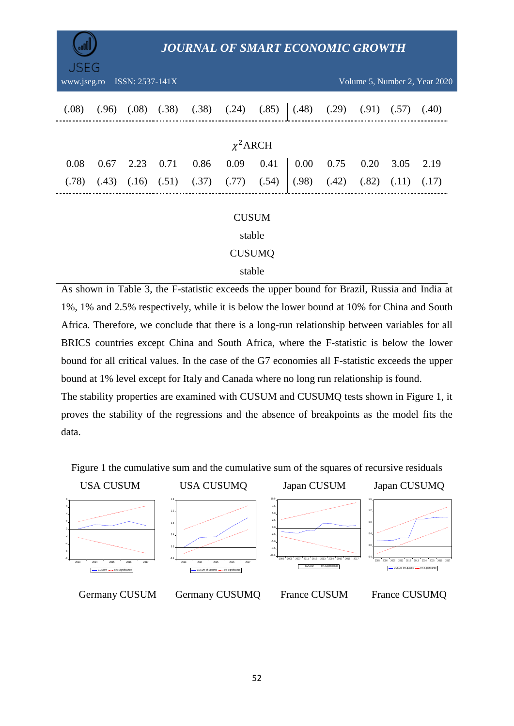| JSEG                                                            |                                                   |       | <b>JOURNAL OF SMART ECONOMIC GROWTH</b> |       |       |       |       |       |       |       |       |  |
|-----------------------------------------------------------------|---------------------------------------------------|-------|-----------------------------------------|-------|-------|-------|-------|-------|-------|-------|-------|--|
| ISSN: 2537-141X<br>www.jseg.ro<br>Volume 5, Number 2, Year 2020 |                                                   |       |                                         |       |       |       |       |       |       |       |       |  |
| (.08)                                                           | (.96)                                             | (.08) | (.38)                                   | (.38) | (.24) | (.85) | (.48) | (.29) | (.91) | (.57) | (.40) |  |
|                                                                 | $\chi^2$ ARCH                                     |       |                                         |       |       |       |       |       |       |       |       |  |
| 0.08                                                            | 0.67                                              | 2.23  | 0.71                                    | 0.86  | 0.09  | 0.41  | 0.00  | 0.75  | 0.20  | 3.05  | 2.19  |  |
| (.78)                                                           | (.43)                                             | (.16) | (.51)                                   | (.37) | (.77) | (.54) | (.98) | (.42) | (.82) | (.11) | (.17) |  |
|                                                                 | <b>CUSUM</b><br>stable<br><b>CUSUMQ</b><br>stable |       |                                         |       |       |       |       |       |       |       |       |  |

As shown in Table 3, the F-statistic exceeds the upper bound for Brazil, Russia and India at 1%, 1% and 2.5% respectively, while it is below the lower bound at 10% for China and South Africa. Therefore, we conclude that there is a long-run relationship between variables for all BRICS countries except China and South Africa, where the F-statistic is below the lower bound for all critical values. In the case of the G7 economies all F-statistic exceeds the upper bound at 1% level except for Italy and Canada where no long run relationship is found. The stability properties are examined with CUSUM and CUSUMQ tests shown in Figure 1, it

proves the stability of the regressions and the absence of breakpoints as the model fits the data.

Figure 1 the cumulative sum and the cumulative sum of the squares of recursive residuals











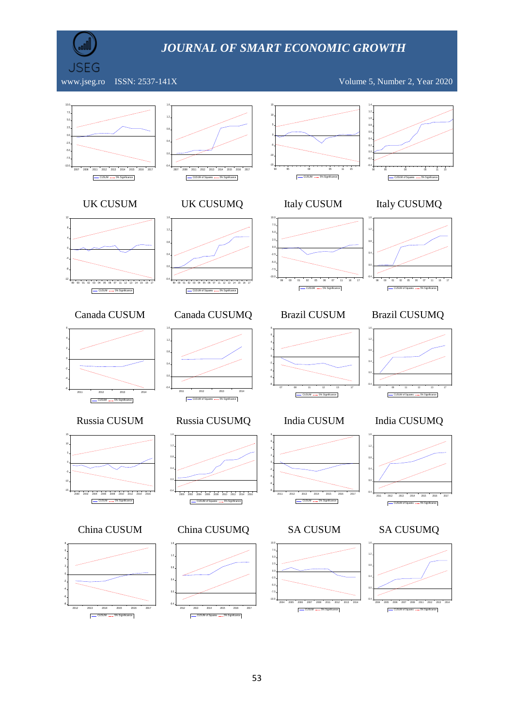

www.jseg.ro ISSN: 2537-141X Volume 5, Number 2, Year 2020

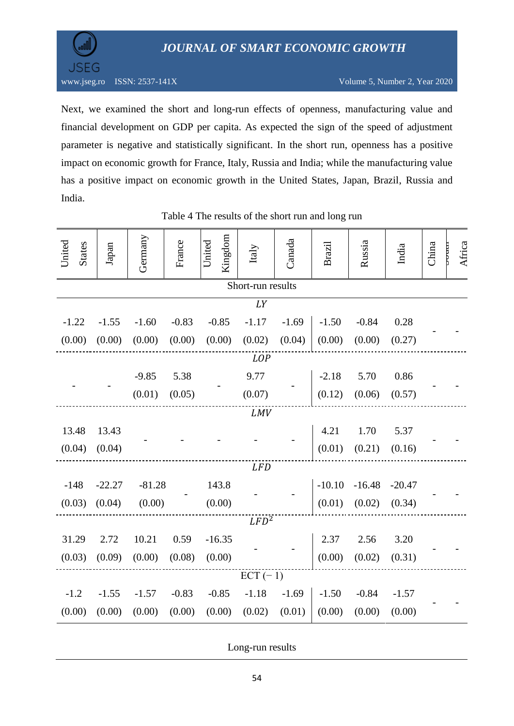



Next, we examined the short and long-run effects of openness, manufacturing value and financial development on GDP per capita. As expected the sign of the speed of adjustment parameter is negative and statistically significant. In the short run, openness has a positive impact on economic growth for France, Italy, Russia and India; while the manufacturing value has a positive impact on economic growth in the United States, Japan, Brazil, Russia and India.

| United<br><b>States</b> | Japan    | Germany  | France  | Kingdom<br>United | Italy             | Canada  | <b>Brazil</b> | Russia   | India    | China | Africa |  |
|-------------------------|----------|----------|---------|-------------------|-------------------|---------|---------------|----------|----------|-------|--------|--|
|                         |          |          |         |                   | Short-run results |         |               |          |          |       |        |  |
|                         |          |          |         |                   | LY                |         |               |          |          |       |        |  |
| $-1.22$                 | $-1.55$  | $-1.60$  | $-0.83$ | $-0.85$           | $-1.17$           | $-1.69$ | $-1.50$       | $-0.84$  | 0.28     |       |        |  |
| (0.00)                  | (0.00)   | (0.00)   | (0.00)  | (0.00)            | (0.02)            | (0.04)  | (0.00)        | (0.00)   | (0.27)   |       |        |  |
| <b>LOP</b>              |          |          |         |                   |                   |         |               |          |          |       |        |  |
|                         |          | $-9.85$  | 5.38    |                   | 9.77              |         | $-2.18$       | 5.70     | 0.86     |       |        |  |
|                         |          | (0.01)   | (0.05)  |                   | (0.07)            |         | (0.12)        | (0.06)   | (0.57)   |       |        |  |
|                         |          |          |         |                   | <b>LMV</b>        |         |               |          |          |       |        |  |
| 13.48                   | 13.43    |          |         |                   |                   |         | 4.21          | 1.70     | 5.37     |       |        |  |
| (0.04)                  | (0.04)   |          |         |                   |                   |         | (0.01)        | (0.21)   | (0.16)   |       |        |  |
|                         |          |          |         |                   | <b>LFD</b>        |         |               |          |          |       |        |  |
| $-148$                  | $-22.27$ | $-81.28$ |         | 143.8             |                   |         | $-10.10$      | $-16.48$ | $-20.47$ |       |        |  |
| (0.03)                  | (0.04)   | (0.00)   |         | (0.00)            |                   |         | (0.01)        | (0.02)   | (0.34)   |       |        |  |
|                         |          |          |         |                   | $LFD^2$           |         |               |          |          |       |        |  |
| 31.29                   | 2.72     | 10.21    | 0.59    | $-16.35$          |                   |         | 2.37          | 2.56     | 3.20     |       |        |  |
| (0.03)                  | (0.09)   | (0.00)   | (0.08)  | (0.00)            |                   |         | (0.00)        | (0.02)   | (0.31)   |       |        |  |
|                         |          |          |         |                   | $ECT(-1)$         |         |               |          |          |       |        |  |
| $-1.2$                  | $-1.55$  | $-1.57$  | $-0.83$ | $-0.85$           | $-1.18$           | $-1.69$ | $-1.50$       | $-0.84$  | $-1.57$  |       |        |  |
| (0.00)                  | (0.00)   | (0.00)   | (0.00)  | (0.00)            | (0.02)            | (0.01)  | (0.00)        | (0.00)   | (0.00)   |       |        |  |

Table 4 The results of the short run and long run

Long-run results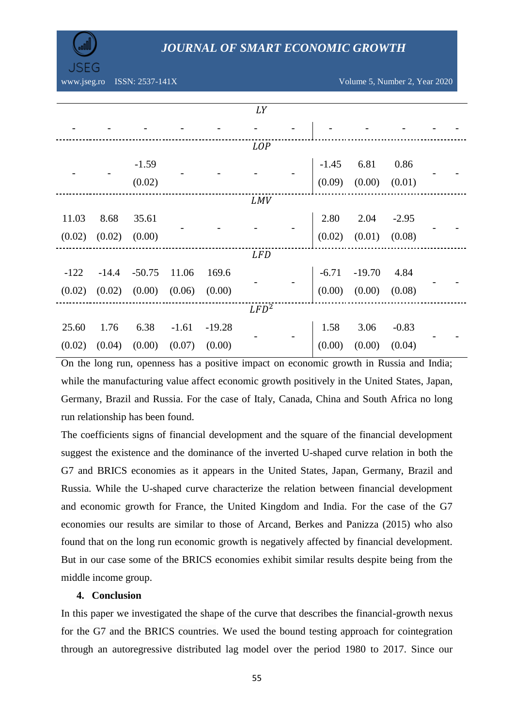

www.jseg.ro ISSN: 2537-141X Volume 5, Number 2, Year 2020

|        |         |          |        |                 | LY         |        |                                             |         |  |
|--------|---------|----------|--------|-----------------|------------|--------|---------------------------------------------|---------|--|
|        |         |          |        |                 |            |        |                                             |         |  |
|        |         |          |        |                 | <b>LOP</b> |        |                                             |         |  |
|        |         | $-1.59$  |        |                 |            |        | $-1.45$ 6.81 0.86                           |         |  |
|        |         | (0.02)   |        |                 |            |        | $(0.09)$ $(0.00)$ $(0.01)$                  |         |  |
|        |         |          |        |                 | <b>LMV</b> |        |                                             |         |  |
| 11.03  | 8.68    | 35.61    |        |                 |            |        | 2.80 2.04 -2.95<br>(0.02) $(0.01)$ $(0.08)$ |         |  |
| (0.02) | (0.02)  | (0.00)   |        |                 |            |        |                                             |         |  |
|        |         |          |        |                 | LFD        |        |                                             |         |  |
| $-122$ | $-14.4$ | $-50.75$ | 11.06  | 169.6           |            |        | $-6.71$ $-19.70$ $4.84$                     |         |  |
| (0.02) | (0.02)  | (0.00)   | (0.06) | (0.00)          |            |        | $(0.00)$ $(0.00)$ $(0.08)$                  |         |  |
|        |         |          |        |                 | $LFD^2$    |        |                                             |         |  |
| 25.60  | 1.76    | 6.38     |        | $-1.61 - 19.28$ |            | 1.58   | 3.06                                        | $-0.83$ |  |
| (0.02) | (0.04)  | (0.00)   | (0.07) | (0.00)          |            | (0.00) | (0.00)                                      | (0.04)  |  |

On the long run, openness has a positive impact on economic growth in Russia and India; while the manufacturing value affect economic growth positively in the United States, Japan, Germany, Brazil and Russia. For the case of Italy, Canada, China and South Africa no long run relationship has been found.

The coefficients signs of financial development and the square of the financial development suggest the existence and the dominance of the inverted U-shaped curve relation in both the G7 and BRICS economies as it appears in the United States, Japan, Germany, Brazil and Russia. While the U-shaped curve characterize the relation between financial development and economic growth for France, the United Kingdom and India. For the case of the G7 economies our results are similar to those of Arcand, Berkes and Panizza (2015) who also found that on the long run economic growth is negatively affected by financial development. But in our case some of the BRICS economies exhibit similar results despite being from the middle income group.

### **4. Conclusion**

In this paper we investigated the shape of the curve that describes the financial-growth nexus for the G7 and the BRICS countries. We used the bound testing approach for cointegration through an autoregressive distributed lag model over the period 1980 to 2017. Since our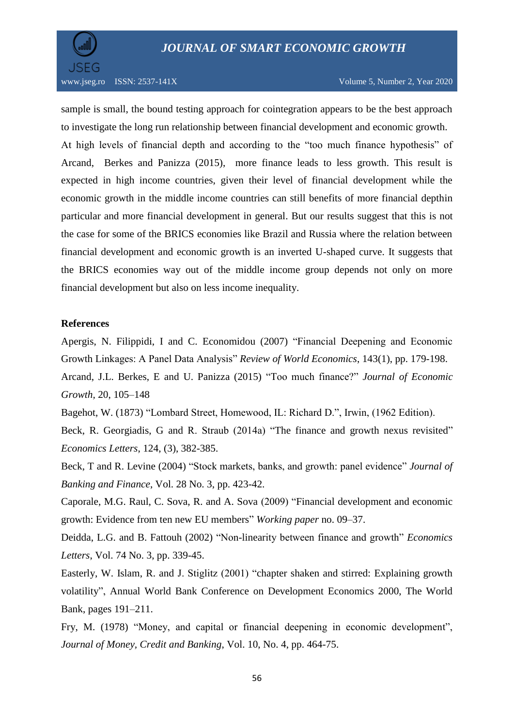

sample is small, the bound testing approach for cointegration appears to be the best approach to investigate the long run relationship between financial development and economic growth. At high levels of financial depth and according to the "too much finance hypothesis" of Arcand, Berkes and Panizza (2015), more finance leads to less growth. This result is expected in high income countries, given their level of financial development while the economic growth in the middle income countries can still benefits of more financial depthin particular and more financial development in general. But our results suggest that this is not the case for some of the BRICS economies like Brazil and Russia where the relation between financial development and economic growth is an inverted U-shaped curve. It suggests that the BRICS economies way out of the middle income group depends not only on more financial development but also on less income inequality.

### **References**

Apergis, N. Filippidi, I and C. Economidou (2007) "Financial Deepening and Economic Growth Linkages: A Panel Data Analysis" *Review of World Economics*, 143(1), pp. 179-198. Arcand, J.L. Berkes, E and U. Panizza (2015) "Too much finance?" *Journal of Economic Growth,* 20, 105–148

Bagehot, W. (1873) "Lombard Street, Homewood, IL: Richard D.", Irwin, (1962 Edition).

Beck, R. Georgiadis, G and R. Straub (2014a) "The finance and growth nexus revisited" *Economics Letters*, 124, (3), 382-385.

Beck, T and R. Levine (2004) "Stock markets, banks, and growth: panel evidence" *Journal of Banking and Finance*, Vol. 28 No. 3, pp. 423-42.

Caporale, M.G. Raul, C. Sova, R. and A. Sova (2009) "Financial development and economic growth: Evidence from ten new EU members" *Working paper* no. 09–37.

Deidda, L.G. and B. Fattouh (2002) "Non-linearity between finance and growth" *Economics Letters*, Vol. 74 No. 3, pp. 339-45.

Easterly, W. Islam, R. and J. Stiglitz (2001) "chapter shaken and stirred: Explaining growth volatility", Annual World Bank Conference on Development Economics 2000, The World Bank, pages 191–211.

Fry, M. (1978) "Money, and capital or financial deepening in economic development", *Journal of Money, Credit and Banking*, Vol. 10, No. 4, pp. 464-75.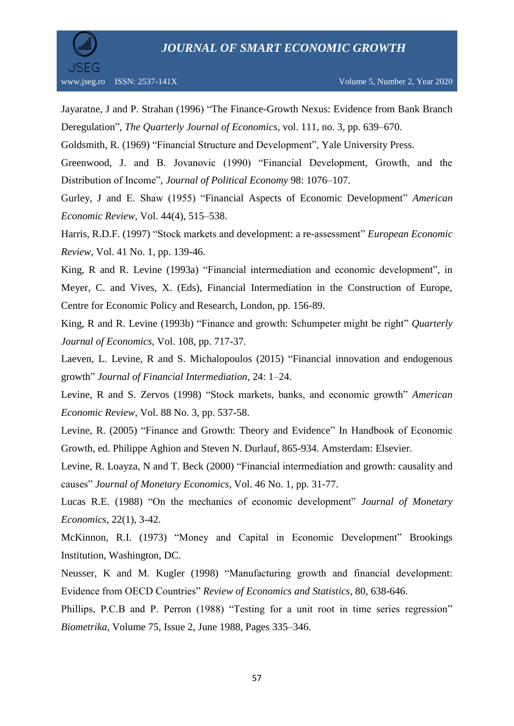

Jayaratne, J and P. Strahan (1996) "The Finance-Growth Nexus: Evidence from Bank Branch Deregulation", *The Quarterly Journal of Economics*, vol. 111, no. 3, pp. 639–670.

Goldsmith, R. (1969) "Financial Structure and Development", Yale University Press.

Greenwood, J. and B. Jovanovic (1990) "Financial Development, Growth, and the Distribution of Income", *Journal of Political Economy* 98: 1076–107.

Gurley, J and E. Shaw (1955) "Financial Aspects of Economic Development" *American Economic Review,* Vol. 44(4), 515–538.

Harris, R.D.F. (1997) "Stock markets and development: a re-assessment" *European Economic Review*, Vol. 41 No. 1, pp. 139-46.

King, R and R. Levine (1993a) "Financial intermediation and economic development", in Meyer, C. and Vives, X. (Eds), Financial Intermediation in the Construction of Europe, Centre for Economic Policy and Research, London, pp. 156-89.

King, R and R. Levine (1993b) "Finance and growth: Schumpeter might be right" *Quarterly Journal of Economics*, Vol. 108, pp. 717-37.

Laeven, L. Levine, R and S. Michalopoulos (2015) "Financial innovation and endogenous growth" *Journal of Financial Intermediation*, 24: 1–24.

Levine, R and S. Zervos (1998) "Stock markets, banks, and economic growth" *American Economic Review*, Vol. 88 No. 3, pp. 537-58.

Levine, R. (2005) "Finance and Growth: Theory and Evidence" In Handbook of Economic Growth, ed. Philippe Aghion and Steven N. Durlauf, 865-934. Amsterdam: Elsevier.

Levine, R. Loayza, N and T. Beck (2000) "Financial intermediation and growth: causality and causes" *Journal of Monetary Economics*, Vol. 46 No. 1, pp. 31-77.

Lucas R.E. (1988) "On the mechanics of economic development" *Journal of Monetary Economics*, 22(1), 3-42.

McKinnon, R.I. (1973) "Money and Capital in Economic Development" Brookings Institution, Washington, DC.

Neusser, K and M. Kugler (1998) "Manufacturing growth and financial development: Evidence from OECD Countries" *Review of Economics and Statistics*, 80, 638-646.

Phillips, P.C.B and P. Perron (1988) "Testing for a unit root in time series regression" *Biometrika*, Volume 75, Issue 2, June 1988, Pages 335–346.